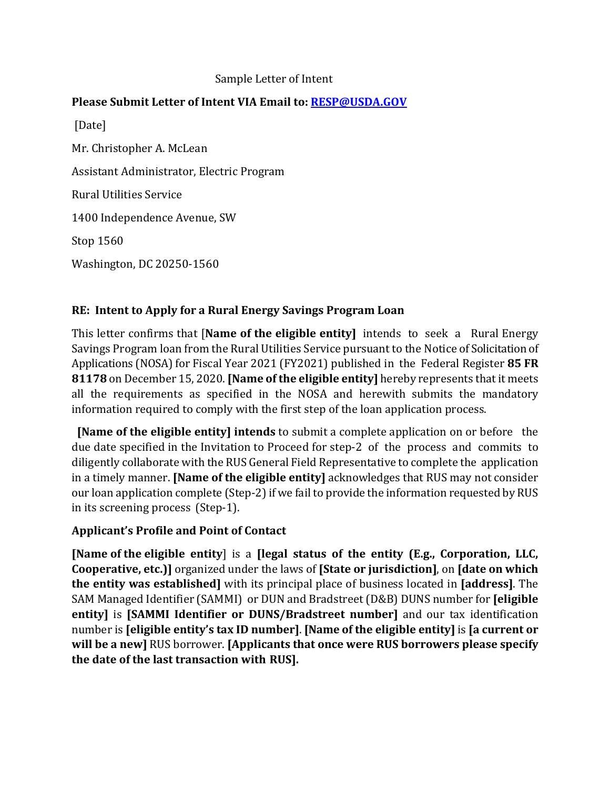### Sample Letter of Intent

## **Please Submit Letter of Intent VIA Email to: [RESP@USDA.GOV](mailto:RESP@USDA.GOV)**

[Date] Mr. Christopher A. McLean Assistant Administrator, Electric Program Rural Utilities Service 1400 Independence Avenue, SW Stop 1560 Washington, DC 20250-1560

## **RE: Intent to Apply for a Rural Energy Savings Program Loan**

This letter confirms that [**Name of the eligible entity]** intends to seek a Rural Energy Savings Program loan from the Rural Utilities Service pursuant to the Notice of Solicitation of Applications (NOSA) for Fiscal Year 2021 (FY2021) published in the Federal Register 85 FR **81178** on December 15, 2020. **[Name of the eligible entity]** hereby represents that it meets all the requirements as specified in the NOSA and herewith submits the mandatory information required to comply with the first step of the loan application process.

**[Name of the eligible entity] intends** to submit a complete application on or before the due date specified in the Invitation to Proceed for step-2 of the process and commits to diligently collaborate with the RUS General Field Representative to complete the application in a timely manner. **[Name of the eligible entity]** acknowledges that RUS may not consider our loan application complete (Step-2) if we fail to provide the information requested by RUS in its screening process (Step-1).

### **Applicant's Profile and Point of Contact**

**[Name of the eligible entity**] is a **[legal status of the entity (E.g., Corporation, LLC, Cooperative, etc.)]** organized under the laws of **[State or jurisdiction]**, on **[date on which the entity was established]** with its principal place of business located in **[address]**. The SAM Managed Identifier (SAMMI) or DUN and Bradstreet (D&B) DUNS number for **[eligible entity]** is **[SAMMI Identifier or DUNS/Bradstreet number]** and our tax identification number is **[eligible entity's tax ID number]**. **[Name of the eligible entity]** is **[a current or will be a new]** RUS borrower. **[Applicants that once were RUS borrowers please specify the date of the last transaction with RUS].**